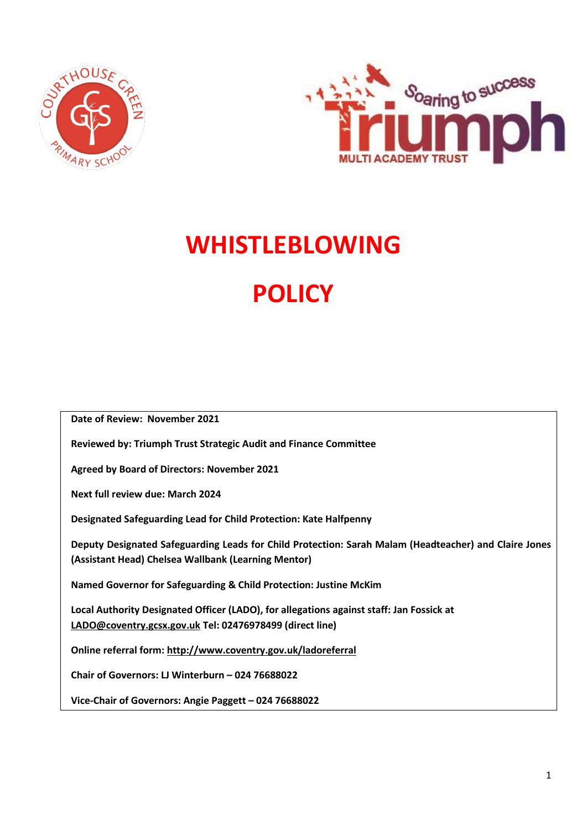



# **WHISTLEBLOWING POLICY**

**Date of Review: November 2021**

**Reviewed by: Triumph Trust Strategic Audit and Finance Committee**

**Agreed by Board of Directors: November 2021**

**Next full review due: March 2024**

**Designated Safeguarding Lead for Child Protection: Kate Halfpenny**

**Deputy Designated Safeguarding Leads for Child Protection: Sarah Malam (Headteacher) and Claire Jones (Assistant Head) Chelsea Wallbank (Learning Mentor)**

**Named Governor for Safeguarding & Child Protection: Justine McKim**

**Local Authority Designated Officer (LADO), for allegations against staff: Jan Fossick at [LADO@coventry.gcsx.gov.uk](mailto:LADO@coventry.gcsx.gov.uk) Tel: 02476978499 (direct line)**

**Online referral form:<http://www.coventry.gov.uk/ladoreferral>**

**Chair of Governors: LJ Winterburn – 024 76688022**

**Vice-Chair of Governors: Angie Paggett – 024 76688022**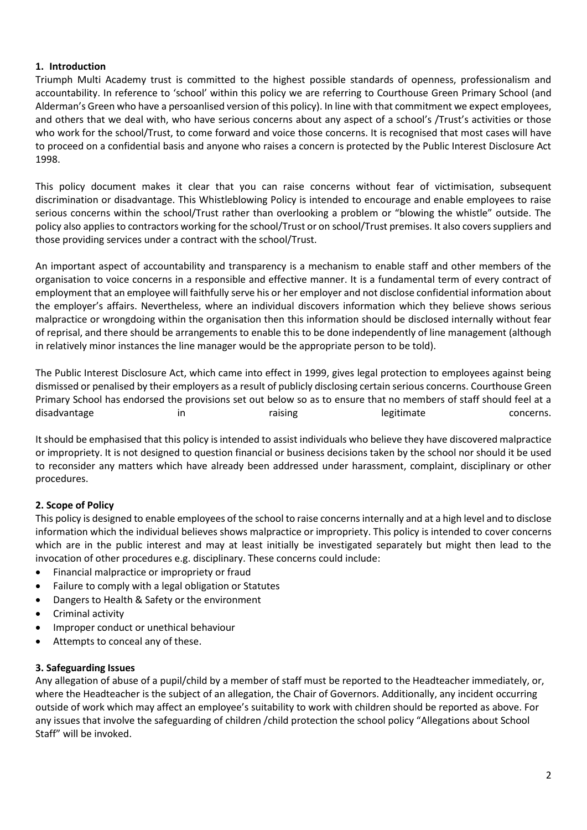# **1. Introduction**

Triumph Multi Academy trust is committed to the highest possible standards of openness, professionalism and accountability. In reference to 'school' within this policy we are referring to Courthouse Green Primary School (and Alderman's Green who have a persoanlised version of this policy). In line with that commitment we expect employees, and others that we deal with, who have serious concerns about any aspect of a school's /Trust's activities or those who work for the school/Trust, to come forward and voice those concerns. It is recognised that most cases will have to proceed on a confidential basis and anyone who raises a concern is protected by the Public Interest Disclosure Act 1998.

This policy document makes it clear that you can raise concerns without fear of victimisation, subsequent discrimination or disadvantage. This Whistleblowing Policy is intended to encourage and enable employees to raise serious concerns within the school/Trust rather than overlooking a problem or "blowing the whistle" outside. The policy also applies to contractors working for the school/Trust or on school/Trust premises. It also covers suppliers and those providing services under a contract with the school/Trust.

An important aspect of accountability and transparency is a mechanism to enable staff and other members of the organisation to voice concerns in a responsible and effective manner. It is a fundamental term of every contract of employment that an employee will faithfully serve his or her employer and not disclose confidential information about the employer's affairs. Nevertheless, where an individual discovers information which they believe shows serious malpractice or wrongdoing within the organisation then this information should be disclosed internally without fear of reprisal, and there should be arrangements to enable this to be done independently of line management (although in relatively minor instances the line manager would be the appropriate person to be told).

The Public Interest Disclosure Act, which came into effect in 1999, gives legal protection to employees against being dismissed or penalised by their employers as a result of publicly disclosing certain serious concerns. Courthouse Green Primary School has endorsed the provisions set out below so as to ensure that no members of staff should feel at a disadvantage in in raising registmate registmate concerns.

It should be emphasised that this policy is intended to assist individuals who believe they have discovered malpractice or impropriety. It is not designed to question financial or business decisions taken by the school nor should it be used to reconsider any matters which have already been addressed under harassment, complaint, disciplinary or other procedures.

#### **2. Scope of Policy**

This policy is designed to enable employees of the school to raise concerns internally and at a high level and to disclose information which the individual believes shows malpractice or impropriety. This policy is intended to cover concerns which are in the public interest and may at least initially be investigated separately but might then lead to the invocation of other procedures e.g. disciplinary. These concerns could include:

- Financial malpractice or impropriety or fraud
- Failure to comply with a legal obligation or Statutes
- Dangers to Health & Safety or the environment
- Criminal activity
- Improper conduct or unethical behaviour
- Attempts to conceal any of these.

#### **3. Safeguarding Issues**

Any allegation of abuse of a pupil/child by a member of staff must be reported to the Headteacher immediately, or, where the Headteacher is the subject of an allegation, the Chair of Governors. Additionally, any incident occurring outside of work which may affect an employee's suitability to work with children should be reported as above. For any issues that involve the safeguarding of children /child protection the school policy "Allegations about School Staff" will be invoked.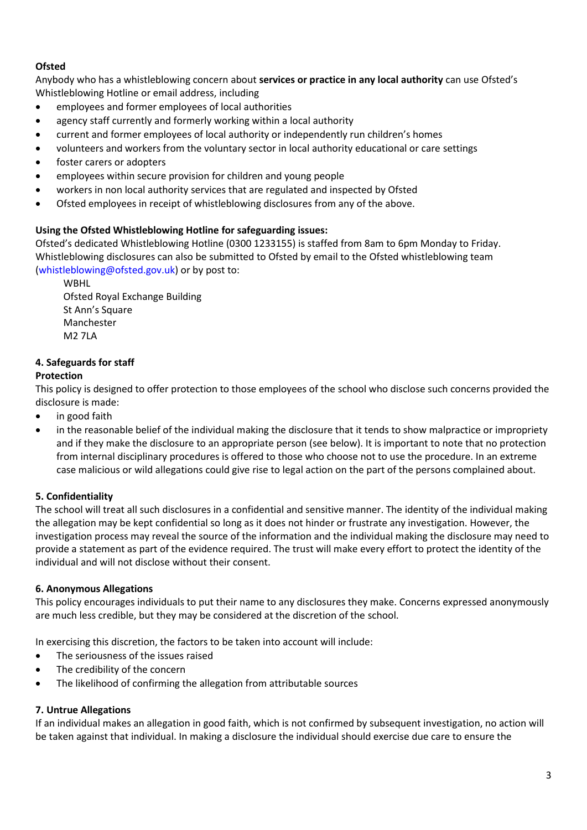# **Ofsted**

Anybody who has a whistleblowing concern about **services or practice in any local authority** can use Ofsted's Whistleblowing Hotline or email address, including

- employees and former employees of local authorities
- agency staff currently and formerly working within a local authority
- current and former employees of local authority or independently run children's homes
- volunteers and workers from the voluntary sector in local authority educational or care settings
- foster carers or adopters
- employees within secure provision for children and young people
- workers in non local authority services that are regulated and inspected by Ofsted
- Ofsted employees in receipt of whistleblowing disclosures from any of the above.

# **Using the Ofsted Whistleblowing Hotline for safeguarding issues:**

Ofsted's dedicated Whistleblowing Hotline (0300 1233155) is staffed from 8am to 6pm Monday to Friday. Whistleblowing disclosures can also be submitted to Ofsted by email to the Ofsted whistleblowing team [\(whistleblowing@ofsted.gov.uk\)](mailto:whistleblowing@ofsted.gov.uk) or by post to:

WBHL Ofsted Royal Exchange Building St Ann's Square Manchester M2 7LA

# **4. Safeguards for staff**

# **Protection**

This policy is designed to offer protection to those employees of the school who disclose such concerns provided the disclosure is made:

- in good faith
- in the reasonable belief of the individual making the disclosure that it tends to show malpractice or impropriety and if they make the disclosure to an appropriate person (see below). It is important to note that no protection from internal disciplinary procedures is offered to those who choose not to use the procedure. In an extreme case malicious or wild allegations could give rise to legal action on the part of the persons complained about.

# **5. Confidentiality**

The school will treat all such disclosures in a confidential and sensitive manner. The identity of the individual making the allegation may be kept confidential so long as it does not hinder or frustrate any investigation. However, the investigation process may reveal the source of the information and the individual making the disclosure may need to provide a statement as part of the evidence required. The trust will make every effort to protect the identity of the individual and will not disclose without their consent.

#### **6. Anonymous Allegations**

This policy encourages individuals to put their name to any disclosures they make. Concerns expressed anonymously are much less credible, but they may be considered at the discretion of the school.

In exercising this discretion, the factors to be taken into account will include:

- The seriousness of the issues raised
- The credibility of the concern
- The likelihood of confirming the allegation from attributable sources

#### **7. Untrue Allegations**

If an individual makes an allegation in good faith, which is not confirmed by subsequent investigation, no action will be taken against that individual. In making a disclosure the individual should exercise due care to ensure the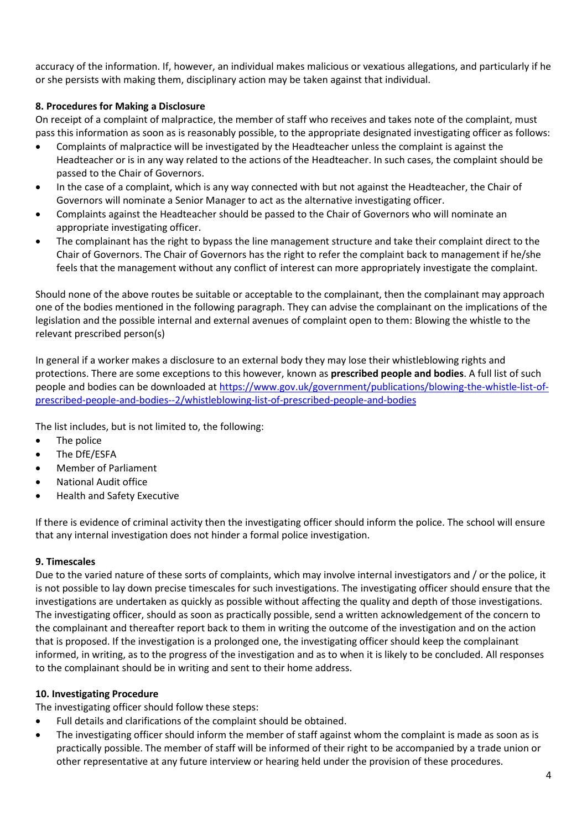accuracy of the information. If, however, an individual makes malicious or vexatious allegations, and particularly if he or she persists with making them, disciplinary action may be taken against that individual.

# **8. Procedures for Making a Disclosure**

On receipt of a complaint of malpractice, the member of staff who receives and takes note of the complaint, must pass this information as soon as is reasonably possible, to the appropriate designated investigating officer as follows:

- Complaints of malpractice will be investigated by the Headteacher unless the complaint is against the Headteacher or is in any way related to the actions of the Headteacher. In such cases, the complaint should be passed to the Chair of Governors.
- In the case of a complaint, which is any way connected with but not against the Headteacher, the Chair of Governors will nominate a Senior Manager to act as the alternative investigating officer.
- Complaints against the Headteacher should be passed to the Chair of Governors who will nominate an appropriate investigating officer.
- The complainant has the right to bypass the line management structure and take their complaint direct to the Chair of Governors. The Chair of Governors has the right to refer the complaint back to management if he/she feels that the management without any conflict of interest can more appropriately investigate the complaint.

Should none of the above routes be suitable or acceptable to the complainant, then the complainant may approach one of the bodies mentioned in the following paragraph. They can advise the complainant on the implications of the legislation and the possible internal and external avenues of complaint open to them: Blowing the whistle to the relevant prescribed person(s)

In general if a worker makes a disclosure to an external body they may lose their whistleblowing rights and protections. There are some exceptions to this however, known as **prescribed people and bodies**. A full list of such people and bodies can be downloaded a[t https://www.gov.uk/government/publications/blowing-the-whistle-list-of](https://www.gov.uk/government/publications/blowing-the-whistle-list-of-prescribed-people-and-bodies--2/whistleblowing-list-of-prescribed-people-and-bodies)[prescribed-people-and-bodies--2/whistleblowing-list-of-prescribed-people-and-bodies](https://www.gov.uk/government/publications/blowing-the-whistle-list-of-prescribed-people-and-bodies--2/whistleblowing-list-of-prescribed-people-and-bodies)

The list includes, but is not limited to, the following:

- The police
- The DfE/ESFA
- Member of Parliament
- National Audit office
- Health and Safety Executive

If there is evidence of criminal activity then the investigating officer should inform the police. The school will ensure that any internal investigation does not hinder a formal police investigation.

#### **9. Timescales**

Due to the varied nature of these sorts of complaints, which may involve internal investigators and / or the police, it is not possible to lay down precise timescales for such investigations. The investigating officer should ensure that the investigations are undertaken as quickly as possible without affecting the quality and depth of those investigations. The investigating officer, should as soon as practically possible, send a written acknowledgement of the concern to the complainant and thereafter report back to them in writing the outcome of the investigation and on the action that is proposed. If the investigation is a prolonged one, the investigating officer should keep the complainant informed, in writing, as to the progress of the investigation and as to when it is likely to be concluded. All responses to the complainant should be in writing and sent to their home address.

#### **10. Investigating Procedure**

The investigating officer should follow these steps:

- Full details and clarifications of the complaint should be obtained.
- The investigating officer should inform the member of staff against whom the complaint is made as soon as is practically possible. The member of staff will be informed of their right to be accompanied by a trade union or other representative at any future interview or hearing held under the provision of these procedures.